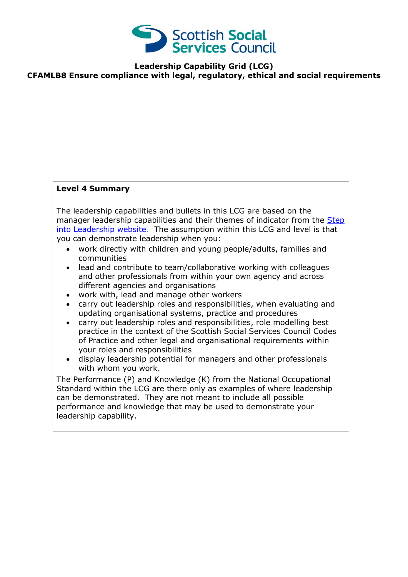

**Leadership Capability Grid (LCG)**

**CFAMLB8 Ensure compliance with legal, regulatory, ethical and social requirements**

### **Level 4 Summary**

The leadership capabilities and bullets in this LCG are based on the manager leadership capabilities and their themes of indicator from the Step [into Leadership website.](http://www.stepintoleadership.info/) The assumption within this LCG and level is that you can demonstrate leadership when you:

- work directly with children and young people/adults, families and communities
- lead and contribute to team/collaborative working with colleagues and other professionals from within your own agency and across different agencies and organisations
- work with, lead and manage other workers
- carry out leadership roles and responsibilities, when evaluating and updating organisational systems, practice and procedures
- carry out leadership roles and responsibilities, role modelling best practice in the context of the Scottish Social Services Council Codes of Practice and other legal and organisational requirements within your roles and responsibilities
- display leadership potential for managers and other professionals with whom you work.

The Performance (P) and Knowledge (K) from the National Occupational Standard within the LCG are there only as examples of where leadership can be demonstrated. They are not meant to include all possible performance and knowledge that may be used to demonstrate your leadership capability.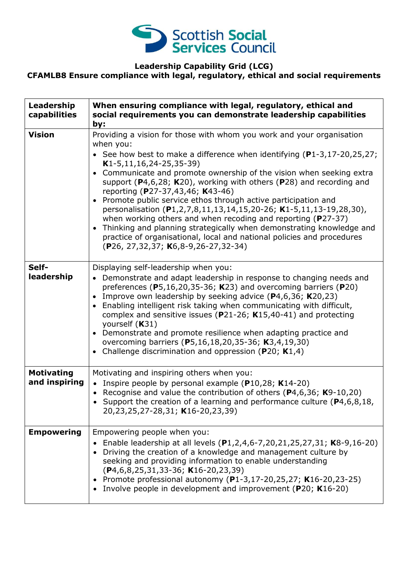

## **Leadership Capability Grid (LCG)**

# **CFAMLB8 Ensure compliance with legal, regulatory, ethical and social requirements**

| Leadership<br>capabilities         | When ensuring compliance with legal, regulatory, ethical and<br>social requirements you can demonstrate leadership capabilities<br>by:                                                                                                                                                                                                                                                                                                                                                                                                                                                                                                                                                                                                                                                                                                           |
|------------------------------------|--------------------------------------------------------------------------------------------------------------------------------------------------------------------------------------------------------------------------------------------------------------------------------------------------------------------------------------------------------------------------------------------------------------------------------------------------------------------------------------------------------------------------------------------------------------------------------------------------------------------------------------------------------------------------------------------------------------------------------------------------------------------------------------------------------------------------------------------------|
| <b>Vision</b>                      | Providing a vision for those with whom you work and your organisation<br>when you:<br>• See how best to make a difference when identifying $(P1-3, 17-20, 25, 27)$ ;<br>$K1-5, 11, 16, 24-25, 35-39)$<br>Communicate and promote ownership of the vision when seeking extra<br>$\bullet$<br>support ( $P4,6,28$ ; K20), working with others ( $P28$ ) and recording and<br>reporting (P27-37,43,46; K43-46)<br>Promote public service ethos through active participation and<br>$\bullet$<br>personalisation (P1,2,7,8,11,13,14,15,20-26; K1-5,11,13-19,28,30),<br>when working others and when recoding and reporting ( $P27-37$ )<br>Thinking and planning strategically when demonstrating knowledge and<br>$\bullet$<br>practice of organisational, local and national policies and procedures<br>$(P26, 27, 32, 37; K6, 8-9, 26-27, 32-34)$ |
| Self-<br>leadership                | Displaying self-leadership when you:<br>Demonstrate and adapt leadership in response to changing needs and<br>preferences ( $P5,16,20,35-36$ ; K23) and overcoming barriers ( $P20$ )<br>Improve own leadership by seeking advice ( $P4,6,36$ ; K20,23)<br>$\bullet$<br>Enabling intelligent risk taking when communicating with difficult,<br>complex and sensitive issues ( $P$ 21-26; K15,40-41) and protecting<br>yourself (K31)<br>Demonstrate and promote resilience when adapting practice and<br>$\bullet$<br>overcoming barriers (P5,16,18,20,35-36; K3,4,19,30)<br>Challenge discrimination and oppression ( $P20$ ; $K1,4$ )<br>$\bullet$                                                                                                                                                                                             |
| <b>Motivating</b><br>and inspiring | Motivating and inspiring others when you:<br>• Inspire people by personal example (P10,28; K14-20)<br>• Recognise and value the contribution of others ( $P$ 4,6,36; K9-10,20)<br>Support the creation of a learning and performance culture (P4,6,8,18,<br>20,23,25,27-28,31; K16-20,23,39)                                                                                                                                                                                                                                                                                                                                                                                                                                                                                                                                                     |
| <b>Empowering</b>                  | Empowering people when you:<br>Enable leadership at all levels (P1,2,4,6-7,20,21,25,27,31; K8-9,16-20)<br>Driving the creation of a knowledge and management culture by<br>seeking and providing information to enable understanding<br>$(P4, 6, 8, 25, 31, 33 - 36; K16 - 20, 23, 39)$<br>Promote professional autonomy (P1-3,17-20,25,27; K16-20,23-25)<br>Involve people in development and improvement (P20; K16-20)                                                                                                                                                                                                                                                                                                                                                                                                                         |